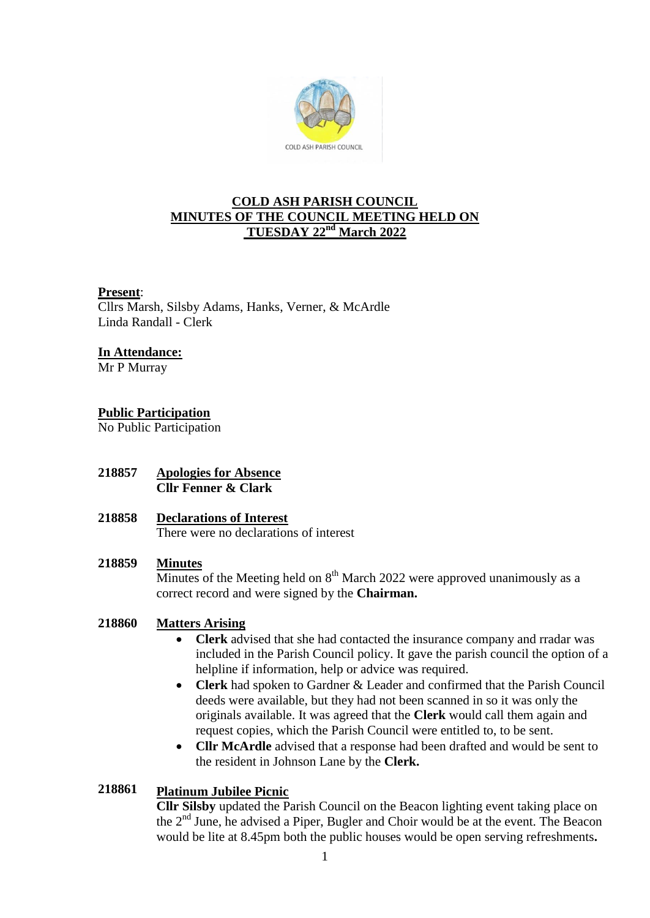

# **COLD ASH PARISH COUNCIL MINUTES OF THE COUNCIL MEETING HELD ON TUESDAY 22nd March 2022**

## **Present**:

Cllrs Marsh, Silsby Adams, Hanks, Verner, & McArdle Linda Randall - Clerk

## **In Attendance:**

Mr P Murray

# **Public Participation**

No Public Participation

**218857 Apologies for Absence Cllr Fenner & Clark**

#### **218858 Declarations of Interest**

There were no declarations of interest

#### **218859 Minutes**

Minutes of the Meeting held on  $8<sup>th</sup>$  March 2022 were approved unanimously as a correct record and were signed by the **Chairman.**

### **218860 Matters Arising**

- **Clerk** advised that she had contacted the insurance company and rradar was included in the Parish Council policy. It gave the parish council the option of a helpline if information, help or advice was required.
- **Clerk** had spoken to Gardner & Leader and confirmed that the Parish Council deeds were available, but they had not been scanned in so it was only the originals available. It was agreed that the **Clerk** would call them again and request copies, which the Parish Council were entitled to, to be sent.
- **Cllr McArdle** advised that a response had been drafted and would be sent to the resident in Johnson Lane by the **Clerk.**

## **218861 Platinum Jubilee Picnic**

**Cllr Silsby** updated the Parish Council on the Beacon lighting event taking place on the 2nd June, he advised a Piper, Bugler and Choir would be at the event. The Beacon would be lite at 8.45pm both the public houses would be open serving refreshments**.**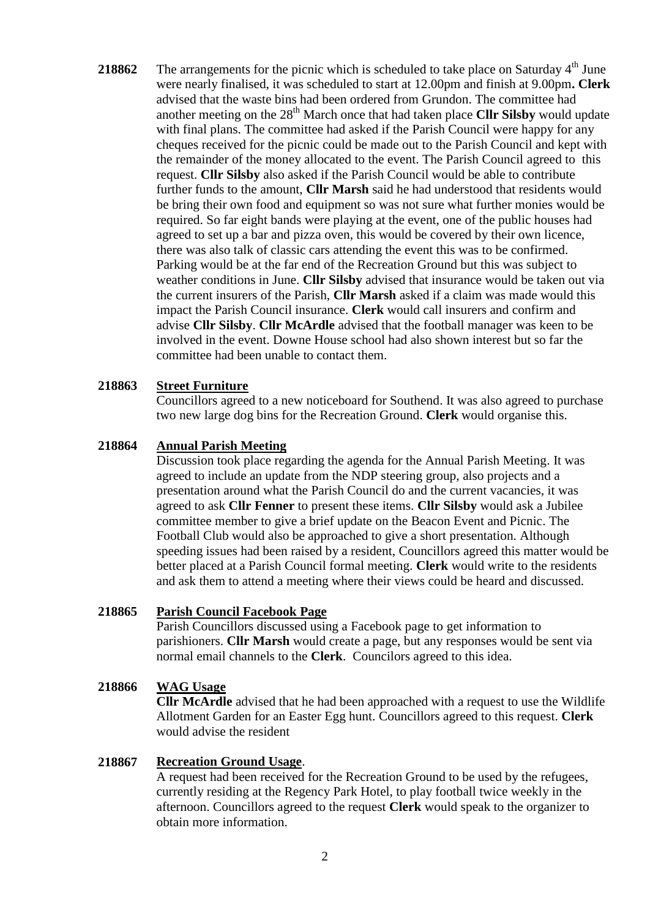**218862** The arrangements for the picnic which is scheduled to take place on Saturday  $4<sup>th</sup>$  June were nearly finalised, it was scheduled to start at 12.00pm and finish at 9.00pm**. Clerk** advised that the waste bins had been ordered from Grundon. The committee had another meeting on the 28<sup>th</sup> March once that had taken place **Cllr Silsby** would update with final plans. The committee had asked if the Parish Council were happy for any cheques received for the picnic could be made out to the Parish Council and kept with the remainder of the money allocated to the event. The Parish Council agreed to this request. **Cllr Silsby** also asked if the Parish Council would be able to contribute further funds to the amount, **Cllr Marsh** said he had understood that residents would be bring their own food and equipment so was not sure what further monies would be required. So far eight bands were playing at the event, one of the public houses had agreed to set up a bar and pizza oven, this would be covered by their own licence, there was also talk of classic cars attending the event this was to be confirmed. Parking would be at the far end of the Recreation Ground but this was subject to weather conditions in June. **Cllr Silsby** advised that insurance would be taken out via the current insurers of the Parish, **Cllr Marsh** asked if a claim was made would this impact the Parish Council insurance. **Clerk** would call insurers and confirm and advise **Cllr Silsby**. **Cllr McArdle** advised that the football manager was keen to be involved in the event. Downe House school had also shown interest but so far the committee had been unable to contact them.

#### **218863 Street Furniture**

Councillors agreed to a new noticeboard for Southend. It was also agreed to purchase two new large dog bins for the Recreation Ground. **Clerk** would organise this.

#### **218864 Annual Parish Meeting**

Discussion took place regarding the agenda for the Annual Parish Meeting. It was agreed to include an update from the NDP steering group, also projects and a presentation around what the Parish Council do and the current vacancies, it was agreed to ask **Cllr Fenner** to present these items. **Cllr Silsby** would ask a Jubilee committee member to give a brief update on the Beacon Event and Picnic. The Football Club would also be approached to give a short presentation. Although speeding issues had been raised by a resident, Councillors agreed this matter would be better placed at a Parish Council formal meeting. **Clerk** would write to the residents and ask them to attend a meeting where their views could be heard and discussed.

#### **218865 Parish Council Facebook Page**

Parish Councillors discussed using a Facebook page to get information to parishioners. **Cllr Marsh** would create a page, but any responses would be sent via normal email channels to the **Clerk**. Councilors agreed to this idea.

## **218866 WAG Usage**

**Cllr McArdle** advised that he had been approached with a request to use the Wildlife Allotment Garden for an Easter Egg hunt. Councillors agreed to this request. **Clerk** would advise the resident

#### **218867 Recreation Ground Usage**.

A request had been received for the Recreation Ground to be used by the refugees, currently residing at the Regency Park Hotel, to play football twice weekly in the afternoon. Councillors agreed to the request **Clerk** would speak to the organizer to obtain more information.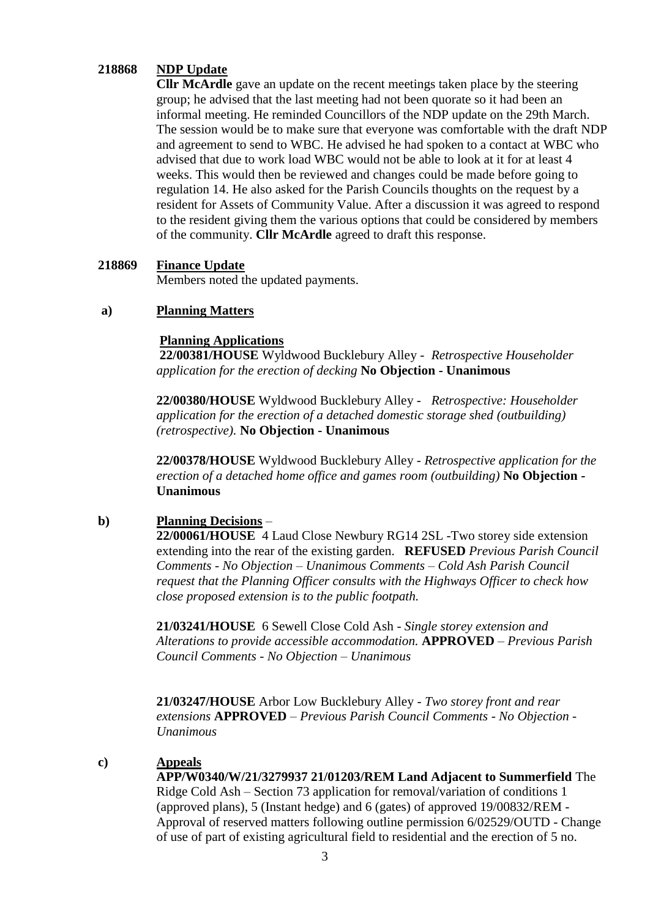## **218868 NDP Update**

**Cllr McArdle** gave an update on the recent meetings taken place by the steering group; he advised that the last meeting had not been quorate so it had been an informal meeting. He reminded Councillors of the NDP update on the 29th March. The session would be to make sure that everyone was comfortable with the draft NDP and agreement to send to WBC. He advised he had spoken to a contact at WBC who advised that due to work load WBC would not be able to look at it for at least 4 weeks. This would then be reviewed and changes could be made before going to regulation 14. He also asked for the Parish Councils thoughts on the request by a resident for Assets of Community Value. After a discussion it was agreed to respond to the resident giving them the various options that could be considered by members of the community. **Cllr McArdle** agreed to draft this response.

### **218869 Finance Update**

Members noted the updated payments.

### **a) Planning Matters**

## **Planning Applications**

**22/00381/HOUSE** Wyldwood Bucklebury Alley - *Retrospective Householder application for the erection of decking* **No Objection - Unanimous**

**22/00380/HOUSE** Wyldwood Bucklebury Alley - *Retrospective: Householder application for the erection of a detached domestic storage shed (outbuilding) (retrospective).* **No Objection - Unanimous**

**22/00378/HOUSE** Wyldwood Bucklebury Alley - *Retrospective application for the erection of a detached home office and games room (outbuilding)* **No Objection - Unanimous**

### **b) Planning Decisions** –

**22/00061/HOUSE** 4 Laud Close Newbury RG14 2SL -Two storey side extension extending into the rear of the existing garden. **REFUSED** *Previous Parish Council Comments - No Objection – Unanimous Comments – Cold Ash Parish Council request that the Planning Officer consults with the Highways Officer to check how close proposed extension is to the public footpath.*

**21/03241/HOUSE** 6 Sewell Close Cold Ash *- Single storey extension and Alterations to provide accessible accommodation.* **APPROVED** *– Previous Parish Council Comments - No Objection – Unanimous*

**21/03247/HOUSE** Arbor Low Bucklebury Alley - *Two storey front and rear extensions* **APPROVED** *– Previous Parish Council Comments - No Objection - Unanimous*

#### **c) Appeals**

**APP/W0340/W/21/3279937 21/01203/REM Land Adjacent to Summerfield** The Ridge Cold Ash – Section 73 application for removal/variation of conditions 1 (approved plans), 5 (Instant hedge) and 6 (gates) of approved 19/00832/REM - Approval of reserved matters following outline permission 6/02529/OUTD - Change of use of part of existing agricultural field to residential and the erection of 5 no.